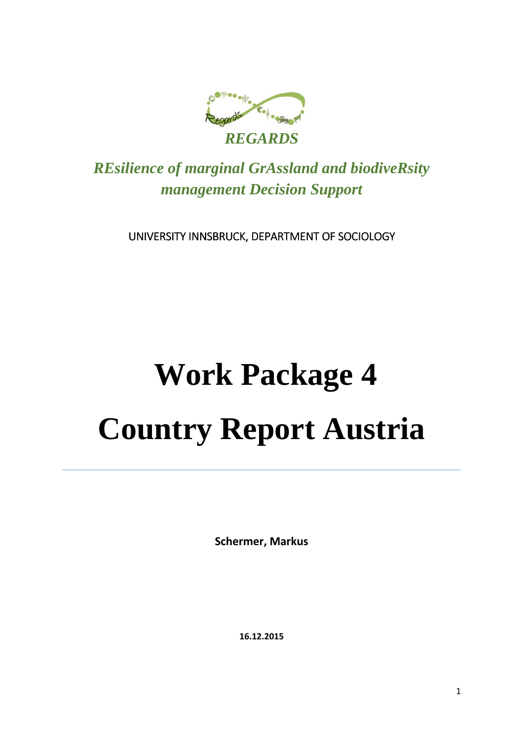

*REsilience of marginal GrAssland and biodiveRsity management Decision Support* 

UNIVERSITY INNSBRUCK, DEPARTMENT OF SOCIOLOGY

# **Work Package 4 Country Report Austria**

**Schermer, Markus**

**16.12.2015**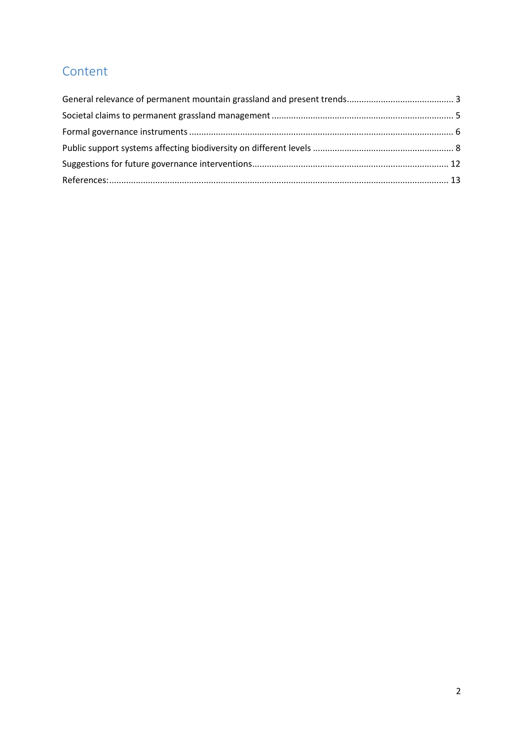## Content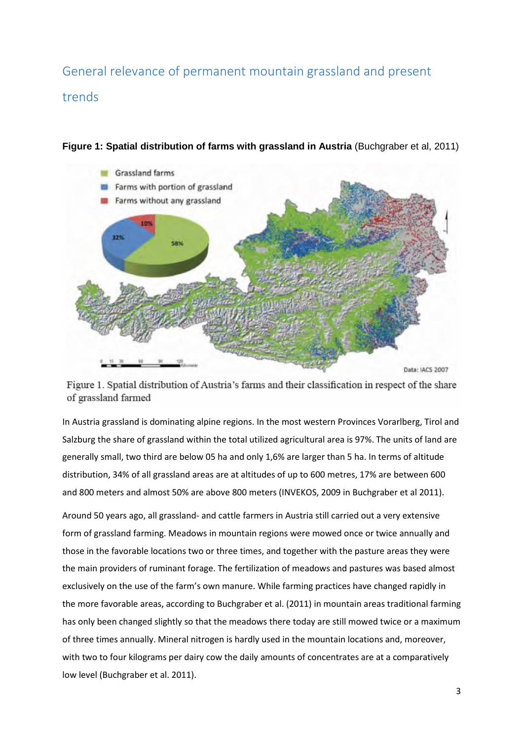## General relevance of permanent mountain grassland and present trends



**Figure 1: Spatial distribution of farms with grassland in Austria (Buchgraber et al, 2011)** 

Figure 1. Spatial distribution of Austria's farms and their classification in respect of the share of grassland farmed

In Austria grassland is dominating alpine regions. In the most western Provinces Vorarlberg, Tirol and Salzburg the share of grassland within the total utilized agricultural area is 97%. The units of land are generally small, two third are below 05 ha and only 1,6% are larger than 5 ha. In terms of altitude distribution, 34% of all grassland areas are at altitudes of up to 600 metres, 17% are between 600 and 800 meters and almost 50% are above 800 meters (INVEKOS, 2009 in Buchgraber et al 2011).

Around 50 years ago, all grassland- and cattle farmers in Austria still carried out a very extensive form of grassland farming. Meadows in mountain regions were mowed once or twice annually and those in the favorable locations two or three times, and together with the pasture areas they were the main providers of ruminant forage. The fertilization of meadows and pastures was based almost exclusively on the use of the farm's own manure. While farming practices have changed rapidly in the more favorable areas, according to Buchgraber et al. (2011) in mountain areas traditional farming has only been changed slightly so that the meadows there today are still mowed twice or a maximum of three times annually. Mineral nitrogen is hardly used in the mountain locations and, moreover, with two to four kilograms per dairy cow the daily amounts of concentrates are at a comparatively low level (Buchgraber et al. 2011).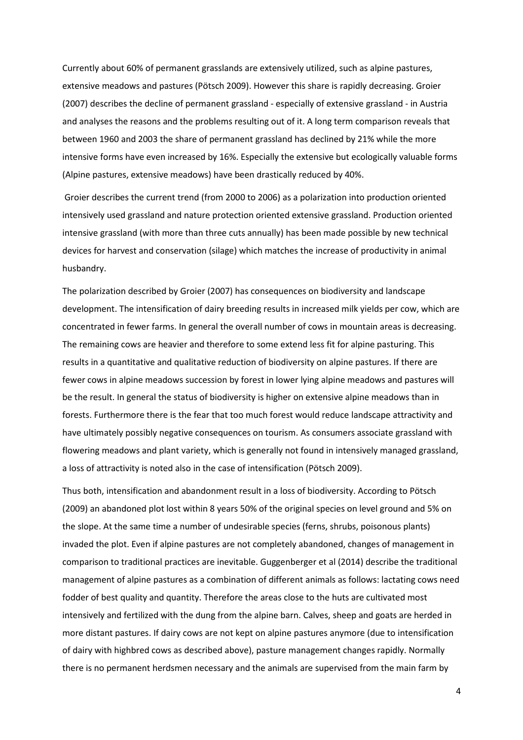Currently about 60% of permanent grasslands are extensively utilized, such as alpine pastures, extensive meadows and pastures (Pötsch 2009). However this share is rapidly decreasing. Groier (2007) describes the decline of permanent grassland - especially of extensive grassland - in Austria and analyses the reasons and the problems resulting out of it. A long term comparison reveals that between 1960 and 2003 the share of permanent grassland has declined by 21% while the more intensive forms have even increased by 16%. Especially the extensive but ecologically valuable forms (Alpine pastures, extensive meadows) have been drastically reduced by 40%.

 Groier describes the current trend (from 2000 to 2006) as a polarization into production oriented intensively used grassland and nature protection oriented extensive grassland. Production oriented intensive grassland (with more than three cuts annually) has been made possible by new technical devices for harvest and conservation (silage) which matches the increase of productivity in animal husbandry.

The polarization described by Groier (2007) has consequences on biodiversity and landscape development. The intensification of dairy breeding results in increased milk yields per cow, which are concentrated in fewer farms. In general the overall number of cows in mountain areas is decreasing. The remaining cows are heavier and therefore to some extend less fit for alpine pasturing. This results in a quantitative and qualitative reduction of biodiversity on alpine pastures. If there are fewer cows in alpine meadows succession by forest in lower lying alpine meadows and pastures will be the result. In general the status of biodiversity is higher on extensive alpine meadows than in forests. Furthermore there is the fear that too much forest would reduce landscape attractivity and have ultimately possibly negative consequences on tourism. As consumers associate grassland with flowering meadows and plant variety, which is generally not found in intensively managed grassland, a loss of attractivity is noted also in the case of intensification (Pötsch 2009).

Thus both, intensification and abandonment result in a loss of biodiversity. According to Pötsch (2009) an abandoned plot lost within 8 years 50% of the original species on level ground and 5% on the slope. At the same time a number of undesirable species (ferns, shrubs, poisonous plants) invaded the plot. Even if alpine pastures are not completely abandoned, changes of management in comparison to traditional practices are inevitable. Guggenberger et al (2014) describe the traditional management of alpine pastures as a combination of different animals as follows: lactating cows need fodder of best quality and quantity. Therefore the areas close to the huts are cultivated most intensively and fertilized with the dung from the alpine barn. Calves, sheep and goats are herded in more distant pastures. If dairy cows are not kept on alpine pastures anymore (due to intensification of dairy with highbred cows as described above), pasture management changes rapidly. Normally there is no permanent herdsmen necessary and the animals are supervised from the main farm by

4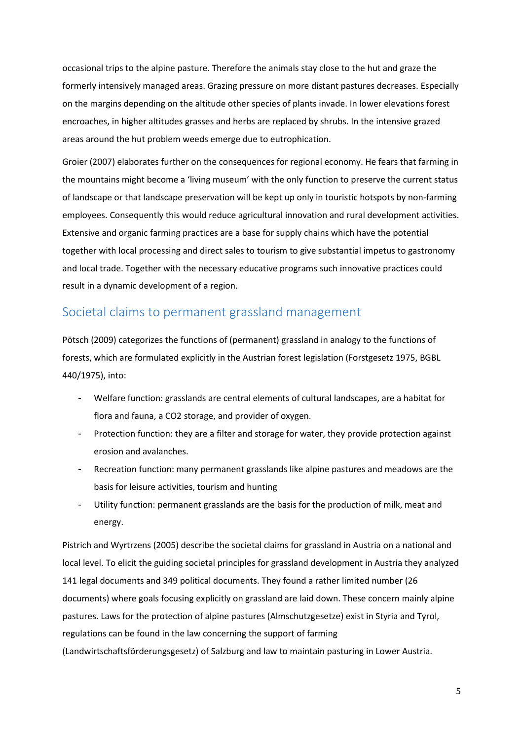occasional trips to the alpine pasture. Therefore the animals stay close to the hut and graze the formerly intensively managed areas. Grazing pressure on more distant pastures decreases. Especially on the margins depending on the altitude other species of plants invade. In lower elevations forest encroaches, in higher altitudes grasses and herbs are replaced by shrubs. In the intensive grazed areas around the hut problem weeds emerge due to eutrophication.

Groier (2007) elaborates further on the consequences for regional economy. He fears that farming in the mountains might become a 'living museum' with the only function to preserve the current status of landscape or that landscape preservation will be kept up only in touristic hotspots by non-farming employees. Consequently this would reduce agricultural innovation and rural development activities. Extensive and organic farming practices are a base for supply chains which have the potential together with local processing and direct sales to tourism to give substantial impetus to gastronomy and local trade. Together with the necessary educative programs such innovative practices could result in a dynamic development of a region.

#### Societal claims to permanent grassland management

Pötsch (2009) categorizes the functions of (permanent) grassland in analogy to the functions of forests, which are formulated explicitly in the Austrian forest legislation (Forstgesetz 1975, BGBL 440/1975), into:

- Welfare function: grasslands are central elements of cultural landscapes, are a habitat for flora and fauna, a CO2 storage, and provider of oxygen.
- Protection function: they are a filter and storage for water, they provide protection against erosion and avalanches.
- Recreation function: many permanent grasslands like alpine pastures and meadows are the basis for leisure activities, tourism and hunting
- Utility function: permanent grasslands are the basis for the production of milk, meat and energy.

Pistrich and Wyrtrzens (2005) describe the societal claims for grassland in Austria on a national and local level. To elicit the guiding societal principles for grassland development in Austria they analyzed 141 legal documents and 349 political documents. They found a rather limited number (26 documents) where goals focusing explicitly on grassland are laid down. These concern mainly alpine pastures. Laws for the protection of alpine pastures (Almschutzgesetze) exist in Styria and Tyrol, regulations can be found in the law concerning the support of farming (Landwirtschaftsförderungsgesetz) of Salzburg and law to maintain pasturing in Lower Austria.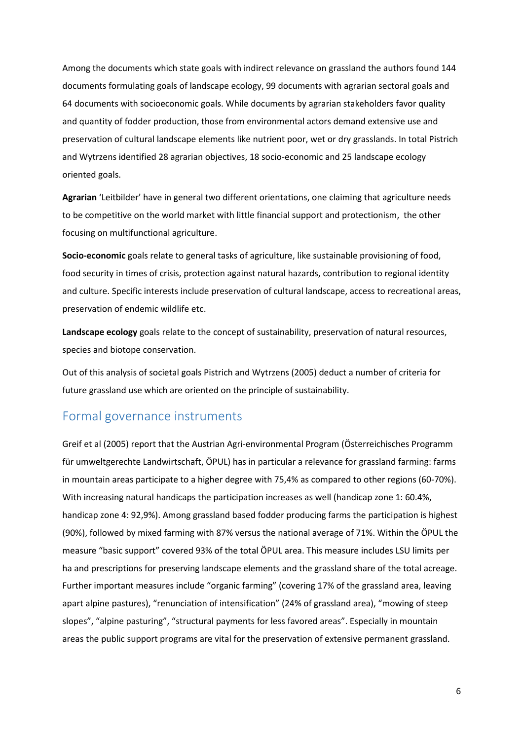Among the documents which state goals with indirect relevance on grassland the authors found 144 documents formulating goals of landscape ecology, 99 documents with agrarian sectoral goals and 64 documents with socioeconomic goals. While documents by agrarian stakeholders favor quality and quantity of fodder production, those from environmental actors demand extensive use and preservation of cultural landscape elements like nutrient poor, wet or dry grasslands. In total Pistrich and Wytrzens identified 28 agrarian objectives, 18 socio-economic and 25 landscape ecology oriented goals.

**Agrarian** 'Leitbilder' have in general two different orientations, one claiming that agriculture needs to be competitive on the world market with little financial support and protectionism, the other focusing on multifunctional agriculture.

**Socio-economic** goals relate to general tasks of agriculture, like sustainable provisioning of food, food security in times of crisis, protection against natural hazards, contribution to regional identity and culture. Specific interests include preservation of cultural landscape, access to recreational areas, preservation of endemic wildlife etc.

**Landscape ecology** goals relate to the concept of sustainability, preservation of natural resources, species and biotope conservation.

Out of this analysis of societal goals Pistrich and Wytrzens (2005) deduct a number of criteria for future grassland use which are oriented on the principle of sustainability.

#### Formal governance instruments

Greif et al (2005) report that the Austrian Agri-environmental Program (Österreichisches Programm für umweltgerechte Landwirtschaft, ÖPUL) has in particular a relevance for grassland farming: farms in mountain areas participate to a higher degree with 75,4% as compared to other regions (60-70%). With increasing natural handicaps the participation increases as well (handicap zone 1: 60.4%, handicap zone 4: 92,9%). Among grassland based fodder producing farms the participation is highest (90%), followed by mixed farming with 87% versus the national average of 71%. Within the ÖPUL the measure "basic support" covered 93% of the total ÖPUL area. This measure includes LSU limits per ha and prescriptions for preserving landscape elements and the grassland share of the total acreage. Further important measures include "organic farming" (covering 17% of the grassland area, leaving apart alpine pastures), "renunciation of intensification" (24% of grassland area), "mowing of steep slopes", "alpine pasturing", "structural payments for less favored areas". Especially in mountain areas the public support programs are vital for the preservation of extensive permanent grassland.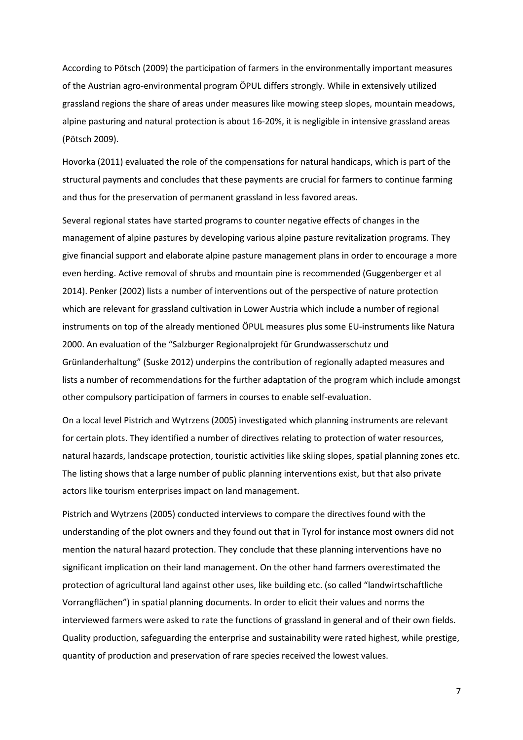According to Pötsch (2009) the participation of farmers in the environmentally important measures of the Austrian agro-environmental program ÖPUL differs strongly. While in extensively utilized grassland regions the share of areas under measures like mowing steep slopes, mountain meadows, alpine pasturing and natural protection is about 16-20%, it is negligible in intensive grassland areas (Pötsch 2009).

Hovorka (2011) evaluated the role of the compensations for natural handicaps, which is part of the structural payments and concludes that these payments are crucial for farmers to continue farming and thus for the preservation of permanent grassland in less favored areas.

Several regional states have started programs to counter negative effects of changes in the management of alpine pastures by developing various alpine pasture revitalization programs. They give financial support and elaborate alpine pasture management plans in order to encourage a more even herding. Active removal of shrubs and mountain pine is recommended (Guggenberger et al 2014). Penker (2002) lists a number of interventions out of the perspective of nature protection which are relevant for grassland cultivation in Lower Austria which include a number of regional instruments on top of the already mentioned ÖPUL measures plus some EU-instruments like Natura 2000. An evaluation of the "Salzburger Regionalprojekt für Grundwasserschutz und Grünlanderhaltung" (Suske 2012) underpins the contribution of regionally adapted measures and lists a number of recommendations for the further adaptation of the program which include amongst other compulsory participation of farmers in courses to enable self-evaluation.

On a local level Pistrich and Wytrzens (2005) investigated which planning instruments are relevant for certain plots. They identified a number of directives relating to protection of water resources, natural hazards, landscape protection, touristic activities like skiing slopes, spatial planning zones etc. The listing shows that a large number of public planning interventions exist, but that also private actors like tourism enterprises impact on land management.

Pistrich and Wytrzens (2005) conducted interviews to compare the directives found with the understanding of the plot owners and they found out that in Tyrol for instance most owners did not mention the natural hazard protection. They conclude that these planning interventions have no significant implication on their land management. On the other hand farmers overestimated the protection of agricultural land against other uses, like building etc. (so called "landwirtschaftliche Vorrangflächen") in spatial planning documents. In order to elicit their values and norms the interviewed farmers were asked to rate the functions of grassland in general and of their own fields. Quality production, safeguarding the enterprise and sustainability were rated highest, while prestige, quantity of production and preservation of rare species received the lowest values.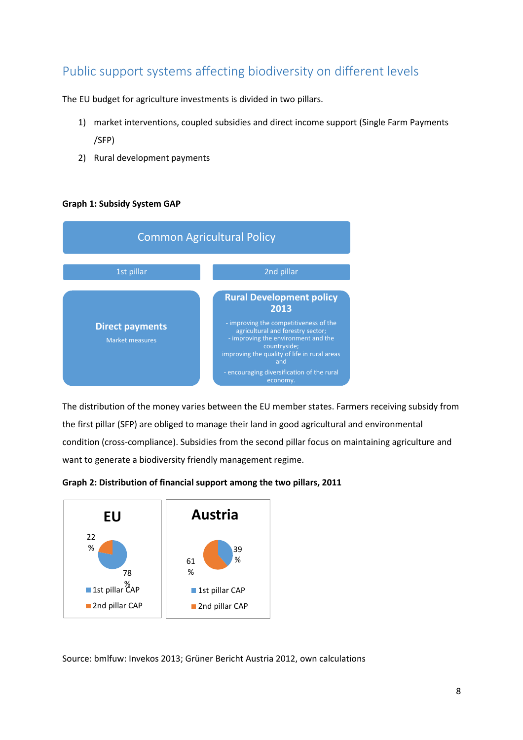## Public support systems affecting biodiversity on different levels

The EU budget for agriculture investments is divided in two pillars.

- 1) market interventions, coupled subsidies and direct income support (Single Farm Payments /SFP)
- 2) Rural development payments

#### **Graph 1: Subsidy System GAP**



The distribution of the money varies between the EU member states. Farmers receiving subsidy from the first pillar (SFP) are obliged to manage their land in good agricultural and environmental condition (cross-compliance). Subsidies from the second pillar focus on maintaining agriculture and want to generate a biodiversity friendly management regime.





Source: bmlfuw: Invekos 2013; Grüner Bericht Austria 2012, own calculations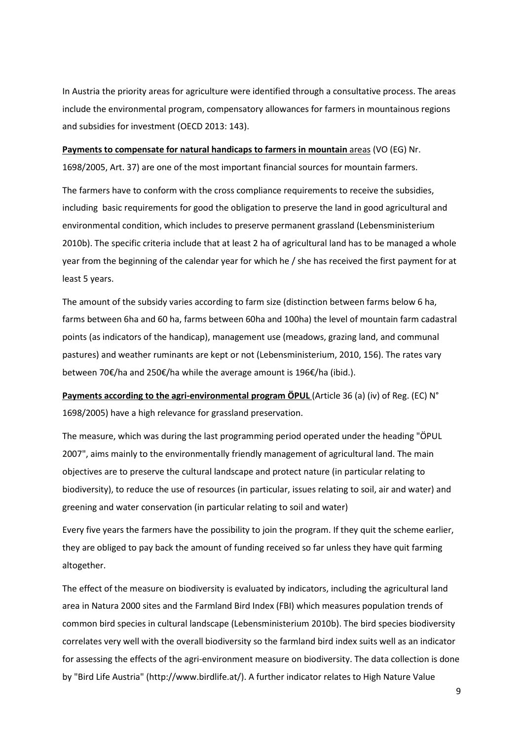In Austria the priority areas for agriculture were identified through a consultative process. The areas include the environmental program, compensatory allowances for farmers in mountainous regions and subsidies for investment (OECD 2013: 143).

## **Payments to compensate for natural handicaps to farmers in mountain** areas (VO (EG) Nr.

1698/2005, Art. 37) are one of the most important financial sources for mountain farmers.

The farmers have to conform with the cross compliance requirements to receive the subsidies, including basic requirements for good the obligation to preserve the land in good agricultural and environmental condition, which includes to preserve permanent grassland (Lebensministerium 2010b). The specific criteria include that at least 2 ha of agricultural land has to be managed a whole year from the beginning of the calendar year for which he / she has received the first payment for at least 5 years.

The amount of the subsidy varies according to farm size (distinction between farms below 6 ha, farms between 6ha and 60 ha, farms between 60ha and 100ha) the level of mountain farm cadastral points (as indicators of the handicap), management use (meadows, grazing land, and communal pastures) and weather ruminants are kept or not (Lebensministerium, 2010, 156). The rates vary between 70€/ha and 250€/ha while the average amount is 196€/ha (ibid.).

**Payments according to the agri-environmental program ÖPUL** (Article 36 (a) (iv) of Reg. (EC) N° 1698/2005) have a high relevance for grassland preservation.

The measure, which was during the last programming period operated under the heading "ÖPUL 2007", aims mainly to the environmentally friendly management of agricultural land. The main objectives are to preserve the cultural landscape and protect nature (in particular relating to biodiversity), to reduce the use of resources (in particular, issues relating to soil, air and water) and greening and water conservation (in particular relating to soil and water)

Every five years the farmers have the possibility to join the program. If they quit the scheme earlier, they are obliged to pay back the amount of funding received so far unless they have quit farming altogether.

The effect of the measure on biodiversity is evaluated by indicators, including the agricultural land area in Natura 2000 sites and the Farmland Bird Index (FBI) which measures population trends of common bird species in cultural landscape (Lebensministerium 2010b). The bird species biodiversity correlates very well with the overall biodiversity so the farmland bird index suits well as an indicator for assessing the effects of the agri-environment measure on biodiversity. The data collection is done by "Bird Life Austria" (http://www.birdlife.at/). A further indicator relates to High Nature Value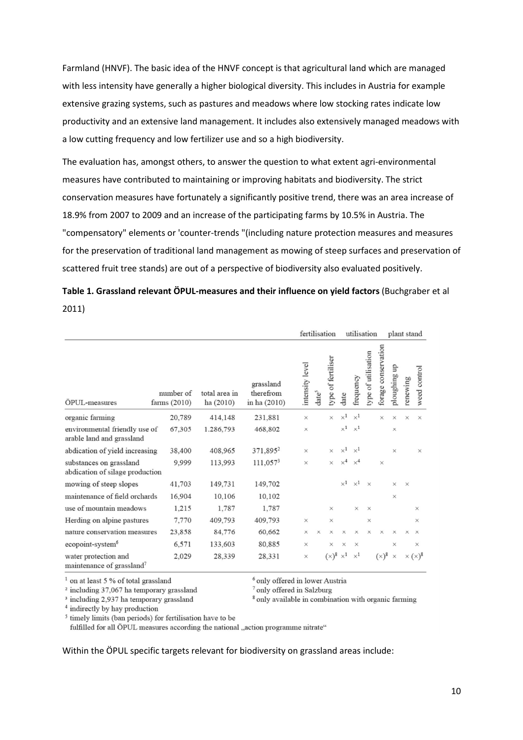Farmland (HNVF). The basic idea of the HNVF concept is that agricultural land which are managed with less intensity have generally a higher biological diversity. This includes in Austria for example extensive grazing systems, such as pastures and meadows where low stocking rates indicate low productivity and an extensive land management. It includes also extensively managed meadows with a low cutting frequency and low fertilizer use and so a high biodiversity.

The evaluation has, amongst others, to answer the question to what extent agri-environmental measures have contributed to maintaining or improving habitats and biodiversity. The strict conservation measures have fortunately a significantly positive trend, there was an area increase of 18.9% from 2007 to 2009 and an increase of the participating farms by 10.5% in Austria. The "compensatory" elements or 'counter-trends "(including nature protection measures and measures for the preservation of traditional land management as mowing of steep surfaces and preservation of scattered fruit tree stands) are out of a perspective of biodiversity also evaluated positively.

|       |  |  | Table 1. Grassland relevant ÖPUL-measures and their influence on yield factors (Buchgraber et al |
|-------|--|--|--------------------------------------------------------------------------------------------------|
| 2011) |  |  |                                                                                                  |

|                                                               |                           |                           |                                        |                 | fertilisation     |                    |            | utilisation |                     |                     | plant stand  |          |                                    |  |
|---------------------------------------------------------------|---------------------------|---------------------------|----------------------------------------|-----------------|-------------------|--------------------|------------|-------------|---------------------|---------------------|--------------|----------|------------------------------------|--|
| ÖPUL-measures                                                 | number of<br>farms (2010) | total area in<br>ha(2010) | grassland<br>therefrom<br>in ha (2010) | intensity level | date <sup>5</sup> | type of fertiliser | date       | frequency   | type of utilisation | forage conservation | ploughing up | renewing | weed control                       |  |
| organic farming                                               | 20,789                    | 414,148                   | 231,881                                | $\times$        |                   | ×                  | $\times^1$ | $\times^1$  |                     | $\times$            | $\times$     | $\times$ | $\times$                           |  |
| environmental friendly use of<br>arable land and grassland    | 67,305                    | 1.286,793                 | 468,802                                | $\times$        |                   |                    | $\times^1$ | $\times^1$  |                     |                     | $\times$     |          |                                    |  |
| abdication of yield increasing                                | 38,400                    | 408,965                   | 371,895 <sup>2</sup>                   | $\times$        |                   | $\times$           | $\times^1$ | $\times^1$  |                     |                     | $\times$     |          | $\times$                           |  |
| substances on grassland<br>abdication of silage production    | 9,999                     | 113,993                   | 111,0573                               | $\times$        |                   | $\times$           | $\times^4$ | $\times^4$  |                     | $\times$            |              |          |                                    |  |
| mowing of steep slopes                                        | 41,703                    | 149,731                   | 149,702                                |                 |                   |                    | $\times^1$ | $\times^1$  | $\times$            |                     | $\times$     | $\times$ |                                    |  |
| maintenance of field orchards                                 | 16,904                    | 10,106                    | 10,102                                 |                 |                   |                    |            |             |                     |                     | $\times$     |          |                                    |  |
| use of mountain meadows                                       | 1,215                     | 1,787                     | 1,787                                  |                 |                   | $\times$           |            | $\times$    | $\times$            |                     |              |          | $\times$                           |  |
| Herding on alpine pastures                                    | 7,770                     | 409,793                   | 409,793                                | $\times$        |                   | $\times$           |            |             | $\times$            |                     |              |          | $\times$                           |  |
| nature conservation measures                                  | 23,858                    | 84,776                    | 60,662                                 | $\times$        | $\times$          | $\times$           | ×          | $\times$    | $\times$            | $\times$            | $\times$     | $\times$ | $\times$                           |  |
| ecopoint-system <sup>6</sup>                                  | 6,571                     | 133,603                   | 80,885                                 | $\times$        |                   | $\times$           | ×          | $\times$    |                     |                     | $\times$     |          | $\times$                           |  |
| water protection and<br>maintenance of grassland <sup>7</sup> | 2,029                     | 28,339                    | 28,331                                 | ×               |                   | $(x)^8$            | $\times^1$ | $\times^1$  |                     | $(x)^8$             | $\times$     |          | $\times$ ( $\times$ ) <sup>8</sup> |  |

<sup>1</sup> on at least 5 % of total grassland

 $2$  including 37,067 ha temporary grassland

<sup>3</sup> including 2,937 ha temporary grassland

<sup>6</sup> only offered in lower Austria <sup>7</sup> only offered in Salzburg

<sup>8</sup> only available in combination with organic farming

<sup>4</sup> indirectly by hay production

<sup>5</sup> timely limits (ban periods) for fertilisation have to be

fulfilled for all ÖPUL measures according the national "action programme nitrate"

Within the ÖPUL specific targets relevant for biodiversity on grassland areas include: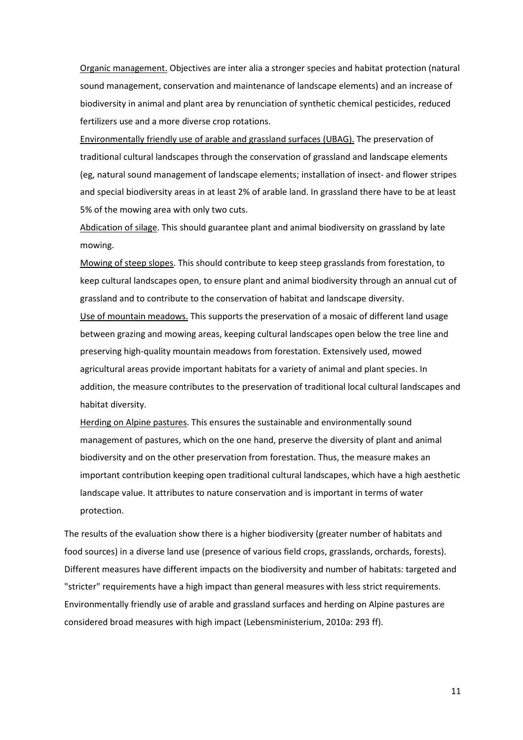Organic management. Objectives are inter alia a stronger species and habitat protection (natural sound management, conservation and maintenance of landscape elements) and an increase of biodiversity in animal and plant area by renunciation of synthetic chemical pesticides, reduced fertilizers use and a more diverse crop rotations.

Environmentally friendly use of arable and grassland surfaces (UBAG). The preservation of traditional cultural landscapes through the conservation of grassland and landscape elements (eg, natural sound management of landscape elements; installation of insect- and flower stripes and special biodiversity areas in at least 2% of arable land. In grassland there have to be at least 5% of the mowing area with only two cuts.

Abdication of silage. This should guarantee plant and animal biodiversity on grassland by late mowing.

Mowing of steep slopes. This should contribute to keep steep grasslands from forestation, to keep cultural landscapes open, to ensure plant and animal biodiversity through an annual cut of grassland and to contribute to the conservation of habitat and landscape diversity. Use of mountain meadows. This supports the preservation of a mosaic of different land usage between grazing and mowing areas, keeping cultural landscapes open below the tree line and preserving high-quality mountain meadows from forestation. Extensively used, mowed agricultural areas provide important habitats for a variety of animal and plant species. In addition, the measure contributes to the preservation of traditional local cultural landscapes and habitat diversity.

Herding on Alpine pastures. This ensures the sustainable and environmentally sound management of pastures, which on the one hand, preserve the diversity of plant and animal biodiversity and on the other preservation from forestation. Thus, the measure makes an important contribution keeping open traditional cultural landscapes, which have a high aesthetic landscape value. It attributes to nature conservation and is important in terms of water protection.

The results of the evaluation show there is a higher biodiversity (greater number of habitats and food sources) in a diverse land use (presence of various field crops, grasslands, orchards, forests). Different measures have different impacts on the biodiversity and number of habitats: targeted and "stricter" requirements have a high impact than general measures with less strict requirements. Environmentally friendly use of arable and grassland surfaces and herding on Alpine pastures are considered broad measures with high impact (Lebensministerium, 2010a: 293 ff).

11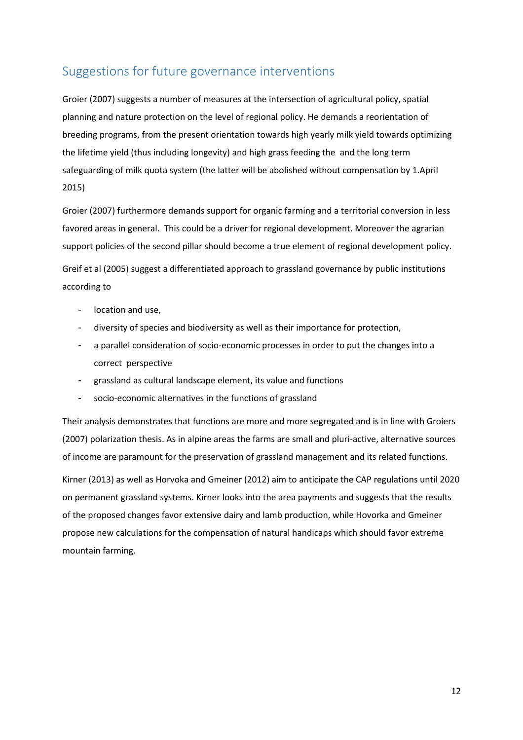## Suggestions for future governance interventions

Groier (2007) suggests a number of measures at the intersection of agricultural policy, spatial planning and nature protection on the level of regional policy. He demands a reorientation of breeding programs, from the present orientation towards high yearly milk yield towards optimizing the lifetime yield (thus including longevity) and high grass feeding the and the long term safeguarding of milk quota system (the latter will be abolished without compensation by 1.April 2015)

Groier (2007) furthermore demands support for organic farming and a territorial conversion in less favored areas in general. This could be a driver for regional development. Moreover the agrarian support policies of the second pillar should become a true element of regional development policy.

Greif et al (2005) suggest a differentiated approach to grassland governance by public institutions according to

- location and use,
- diversity of species and biodiversity as well as their importance for protection,
- a parallel consideration of socio-economic processes in order to put the changes into a correct perspective
- grassland as cultural landscape element, its value and functions
- socio-economic alternatives in the functions of grassland

Their analysis demonstrates that functions are more and more segregated and is in line with Groiers (2007) polarization thesis. As in alpine areas the farms are small and pluri-active, alternative sources of income are paramount for the preservation of grassland management and its related functions.

Kirner (2013) as well as Horvoka and Gmeiner (2012) aim to anticipate the CAP regulations until 2020 on permanent grassland systems. Kirner looks into the area payments and suggests that the results of the proposed changes favor extensive dairy and lamb production, while Hovorka and Gmeiner propose new calculations for the compensation of natural handicaps which should favor extreme mountain farming.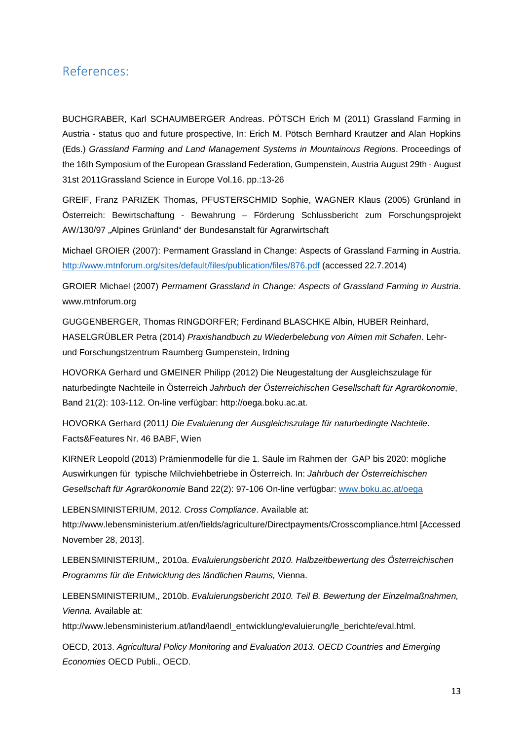## References:

BUCHGRABER, Karl SCHAUMBERGER Andreas. PÖTSCH Erich M (2011) Grassland Farming in Austria - status quo and future prospective, In: Erich M. Pötsch Bernhard Krautzer and Alan Hopkins (Eds.) Grassland Farming and Land Management Systems in Mountainous Regions. Proceedings of the 16th Symposium of the European Grassland Federation, Gumpenstein, Austria August 29th - August 31st 2011Grassland Science in Europe Vol.16. pp.:13-26

GREIF, Franz PARIZEK Thomas, PFUSTERSCHMID Sophie, WAGNER Klaus (2005) Grünland in Österreich: Bewirtschaftung - Bewahrung – Förderung Schlussbericht zum Forschungsprojekt AW/130/97 "Alpines Grünland" der Bundesanstalt für Agrarwirtschaft

Michael GROIER (2007): Permament Grassland in Change: Aspects of Grassland Farming in Austria. http://www.mtnforum.org/sites/default/files/publication/files/876.pdf (accessed 22.7.2014)

GROIER Michael (2007) Permament Grassland in Change: Aspects of Grassland Farming in Austria. www.mtnforum.org

GUGGENBERGER, Thomas RINGDORFER; Ferdinand BLASCHKE Albin, HUBER Reinhard, HASELGRÜBLER Petra (2014) Praxishandbuch zu Wiederbelebung von Almen mit Schafen. Lehrund Forschungstzentrum Raumberg Gumpenstein, Irdning

HOVORKA Gerhard und GMEINER Philipp (2012) Die Neugestaltung der Ausgleichszulage für naturbedingte Nachteile in Österreich Jahrbuch der Österreichischen Gesellschaft für Agrarökonomie, Band 21(2): 103-112. On-line verfügbar: http://oega.boku.ac.at.

HOVORKA Gerhard (2011) Die Evaluierung der Ausgleichszulage für naturbedingte Nachteile. Facts&Features Nr. 46 BABF, Wien

KIRNER Leopold (2013) Prämienmodelle für die 1. Säule im Rahmen der GAP bis 2020: mögliche Auswirkungen für typische Milchviehbetriebe in Österreich. In: Jahrbuch der Österreichischen Gesellschaft für Agrarökonomie Band 22(2): 97-106 On-line verfügbar: www.boku.ac.at/oega

LEBENSMINISTERIUM, 2012. Cross Compliance. Available at: http://www.lebensministerium.at/en/fields/agriculture/Directpayments/Crosscompliance.html [Accessed November 28, 2013].

LEBENSMINISTERIUM,, 2010a. Evaluierungsbericht 2010. Halbzeitbewertung des Österreichischen Programms für die Entwicklung des ländlichen Raums, Vienna.

LEBENSMINISTERIUM,, 2010b. Evaluierungsbericht 2010. Teil B. Bewertung der Einzelmaßnahmen, Vienna. Available at:

http://www.lebensministerium.at/land/laendl\_entwicklung/evaluierung/le\_berichte/eval.html.

OECD, 2013. Agricultural Policy Monitoring and Evaluation 2013. OECD Countries and Emerging Economies OECD Publi., OECD.